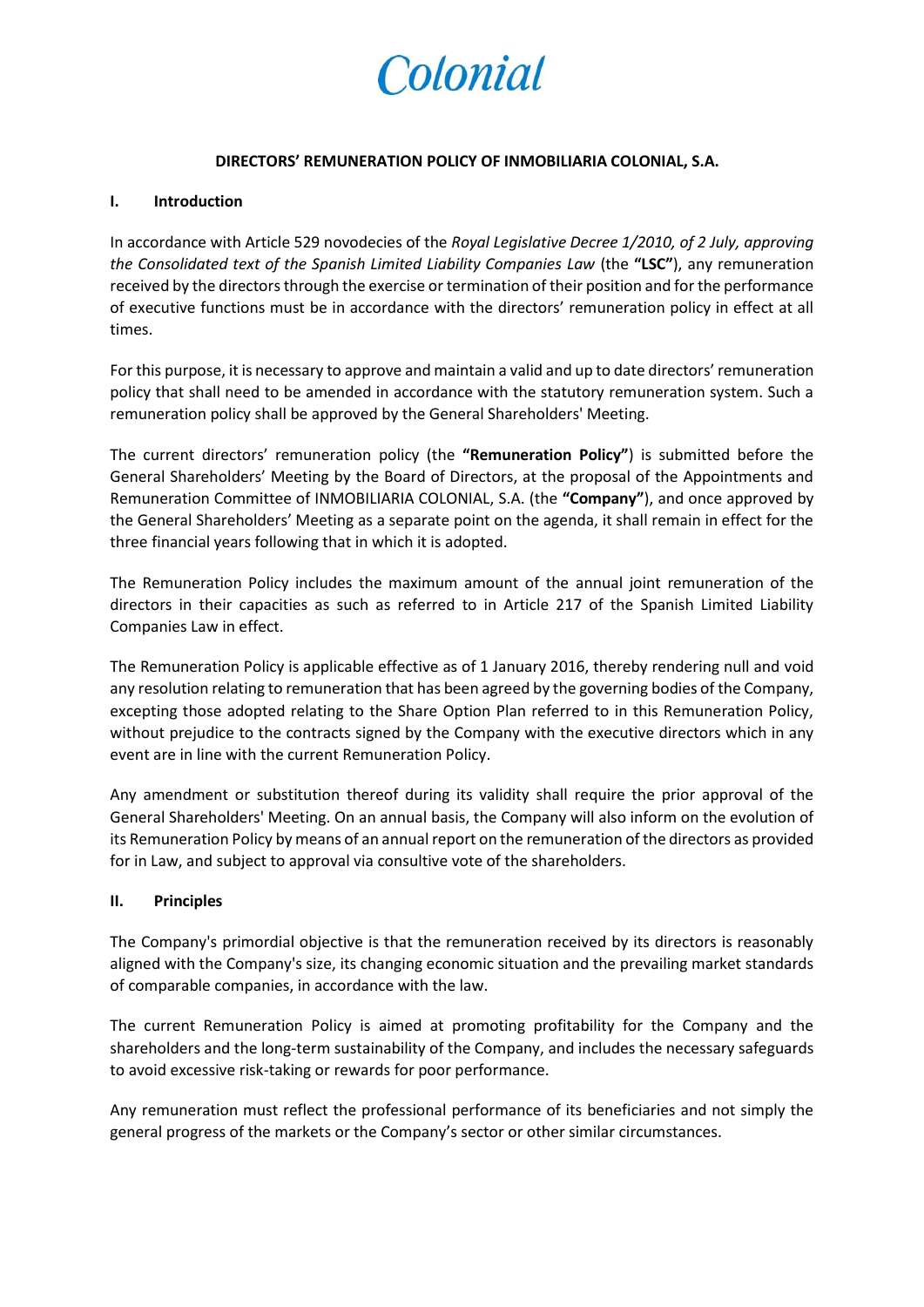

## **DIRECTORS' REMUNERATION POLICY OF INMOBILIARIA COLONIAL, S.A.**

# **I. Introduction**

In accordance with Article 529 novodecies of the *Royal Legislative Decree 1/2010, of 2 July, approving the Consolidated text of the Spanish Limited Liability Companies Law* (the **"LSC"**), any remuneration received by the directors through the exercise or termination of their position and for the performance of executive functions must be in accordance with the directors' remuneration policy in effect at all times.

For this purpose, it is necessary to approve and maintain a valid and up to date directors' remuneration policy that shall need to be amended in accordance with the statutory remuneration system. Such a remuneration policy shall be approved by the General Shareholders' Meeting.

The current directors' remuneration policy (the **"Remuneration Policy"**) is submitted before the General Shareholders' Meeting by the Board of Directors, at the proposal of the Appointments and Remuneration Committee of INMOBILIARIA COLONIAL, S.A. (the **"Company"**), and once approved by the General Shareholders' Meeting as a separate point on the agenda, it shall remain in effect for the three financial years following that in which it is adopted.

The Remuneration Policy includes the maximum amount of the annual joint remuneration of the directors in their capacities as such as referred to in Article 217 of the Spanish Limited Liability Companies Law in effect.

The Remuneration Policy is applicable effective as of 1 January 2016, thereby rendering null and void any resolution relating to remuneration that has been agreed by the governing bodies of the Company, excepting those adopted relating to the Share Option Plan referred to in this Remuneration Policy, without prejudice to the contracts signed by the Company with the executive directors which in any event are in line with the current Remuneration Policy.

Any amendment or substitution thereof during its validity shall require the prior approval of the General Shareholders' Meeting. On an annual basis, the Company will also inform on the evolution of its Remuneration Policy by means of an annual report on the remuneration of the directors as provided for in Law, and subject to approval via consultive vote of the shareholders.

### **II. Principles**

The Company's primordial objective is that the remuneration received by its directors is reasonably aligned with the Company's size, its changing economic situation and the prevailing market standards of comparable companies, in accordance with the law.

The current Remuneration Policy is aimed at promoting profitability for the Company and the shareholders and the long-term sustainability of the Company, and includes the necessary safeguards to avoid excessive risk-taking or rewards for poor performance.

Any remuneration must reflect the professional performance of its beneficiaries and not simply the general progress of the markets or the Company's sector or other similar circumstances.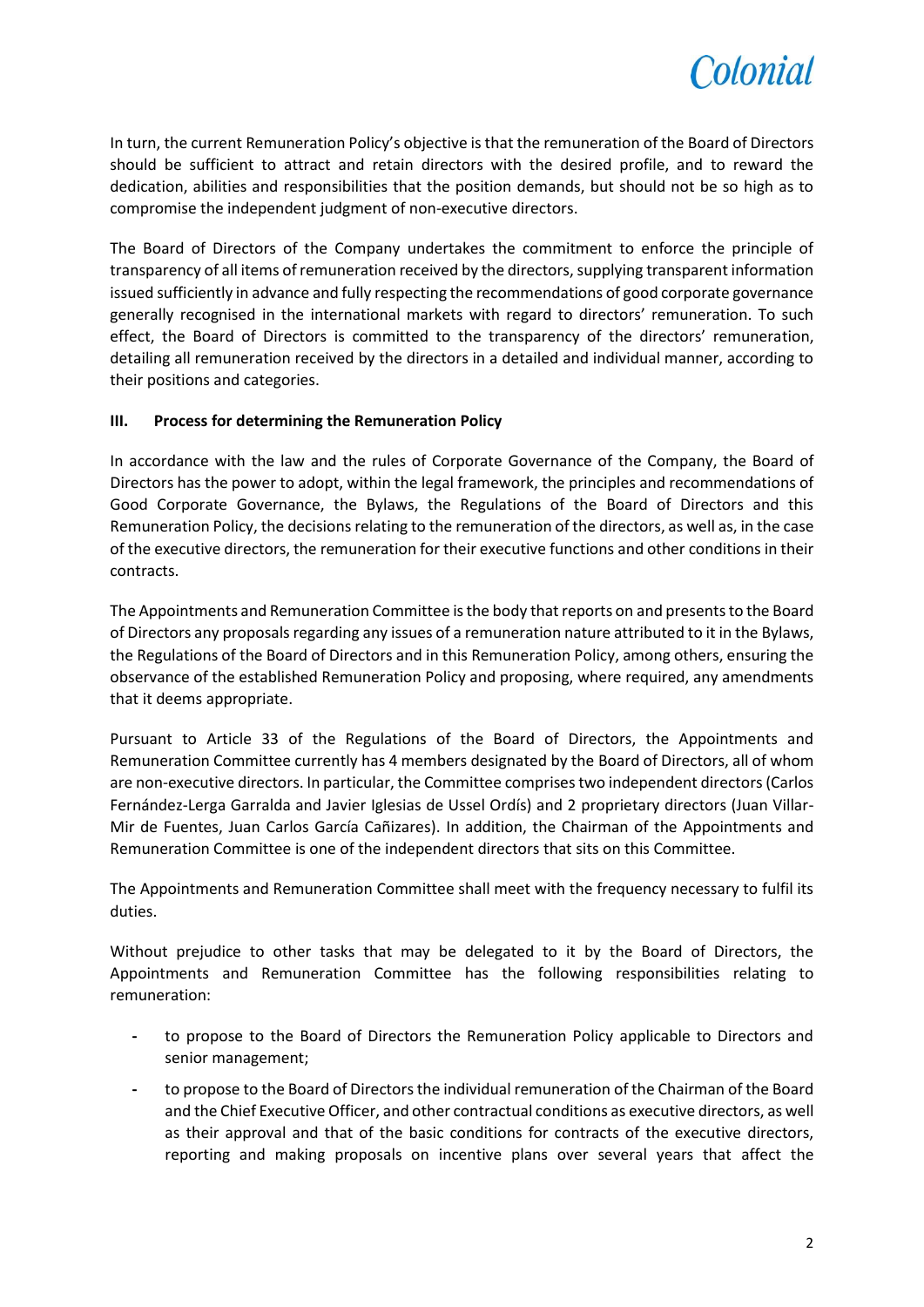

In turn, the current Remuneration Policy's objective is that the remuneration of the Board of Directors should be sufficient to attract and retain directors with the desired profile, and to reward the dedication, abilities and responsibilities that the position demands, but should not be so high as to compromise the independent judgment of non-executive directors.

The Board of Directors of the Company undertakes the commitment to enforce the principle of transparency of all items of remuneration received by the directors, supplying transparent information issued sufficiently in advance and fully respecting the recommendations of good corporate governance generally recognised in the international markets with regard to directors' remuneration. To such effect, the Board of Directors is committed to the transparency of the directors' remuneration, detailing all remuneration received by the directors in a detailed and individual manner, according to their positions and categories.

# **III. Process for determining the Remuneration Policy**

In accordance with the law and the rules of Corporate Governance of the Company, the Board of Directors has the power to adopt, within the legal framework, the principles and recommendations of Good Corporate Governance, the Bylaws, the Regulations of the Board of Directors and this Remuneration Policy, the decisions relating to the remuneration of the directors, as well as, in the case of the executive directors, the remuneration for their executive functions and other conditions in their contracts.

The Appointments and Remuneration Committee is the body that reports on and presents to the Board of Directors any proposals regarding any issues of a remuneration nature attributed to it in the Bylaws, the Regulations of the Board of Directors and in this Remuneration Policy, among others, ensuring the observance of the established Remuneration Policy and proposing, where required, any amendments that it deems appropriate.

Pursuant to Article 33 of the Regulations of the Board of Directors, the Appointments and Remuneration Committee currently has 4 members designated by the Board of Directors, all of whom are non-executive directors. In particular, the Committee comprises two independent directors (Carlos Fernández-Lerga Garralda and Javier Iglesias de Ussel Ordís) and 2 proprietary directors (Juan Villar-Mir de Fuentes, Juan Carlos García Cañizares). In addition, the Chairman of the Appointments and Remuneration Committee is one of the independent directors that sits on this Committee.

The Appointments and Remuneration Committee shall meet with the frequency necessary to fulfil its duties.

Without prejudice to other tasks that may be delegated to it by the Board of Directors, the Appointments and Remuneration Committee has the following responsibilities relating to remuneration:

- **-** to propose to the Board of Directors the Remuneration Policy applicable to Directors and senior management;
- **-** to propose to the Board of Directors the individual remuneration of the Chairman of the Board and the Chief Executive Officer, and other contractual conditions as executive directors, as well as their approval and that of the basic conditions for contracts of the executive directors, reporting and making proposals on incentive plans over several years that affect the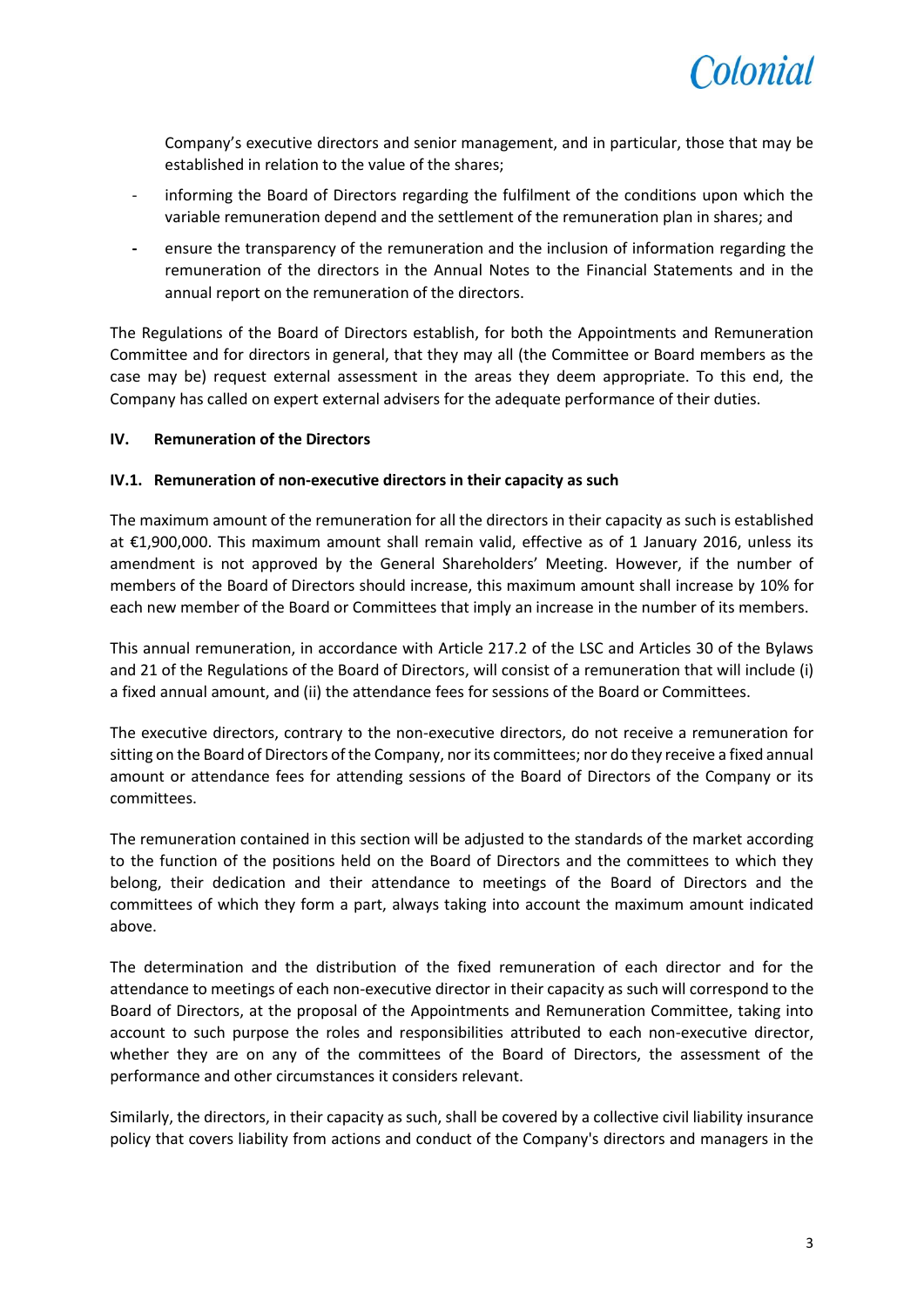

Company's executive directors and senior management, and in particular, those that may be established in relation to the value of the shares;

- informing the Board of Directors regarding the fulfilment of the conditions upon which the variable remuneration depend and the settlement of the remuneration plan in shares; and
- **-** ensure the transparency of the remuneration and the inclusion of information regarding the remuneration of the directors in the Annual Notes to the Financial Statements and in the annual report on the remuneration of the directors.

The Regulations of the Board of Directors establish, for both the Appointments and Remuneration Committee and for directors in general, that they may all (the Committee or Board members as the case may be) request external assessment in the areas they deem appropriate. To this end, the Company has called on expert external advisers for the adequate performance of their duties.

### **IV. Remuneration of the Directors**

### **IV.1. Remuneration of non-executive directors in their capacity as such**

The maximum amount of the remuneration for all the directors in their capacity as such is established at €1,900,000. This maximum amount shall remain valid, effective as of 1 January 2016, unless its amendment is not approved by the General Shareholders' Meeting. However, if the number of members of the Board of Directors should increase, this maximum amount shall increase by 10% for each new member of the Board or Committees that imply an increase in the number of its members.

This annual remuneration, in accordance with Article 217.2 of the LSC and Articles 30 of the Bylaws and 21 of the Regulations of the Board of Directors, will consist of a remuneration that will include (i) a fixed annual amount, and (ii) the attendance fees for sessions of the Board or Committees.

The executive directors, contrary to the non-executive directors, do not receive a remuneration for sitting on the Board of Directors of the Company, nor its committees; nor do they receive a fixed annual amount or attendance fees for attending sessions of the Board of Directors of the Company or its committees.

The remuneration contained in this section will be adjusted to the standards of the market according to the function of the positions held on the Board of Directors and the committees to which they belong, their dedication and their attendance to meetings of the Board of Directors and the committees of which they form a part, always taking into account the maximum amount indicated above.

The determination and the distribution of the fixed remuneration of each director and for the attendance to meetings of each non-executive director in their capacity as such will correspond to the Board of Directors, at the proposal of the Appointments and Remuneration Committee, taking into account to such purpose the roles and responsibilities attributed to each non-executive director, whether they are on any of the committees of the Board of Directors, the assessment of the performance and other circumstances it considers relevant.

Similarly, the directors, in their capacity as such, shall be covered by a collective civil liability insurance policy that covers liability from actions and conduct of the Company's directors and managers in the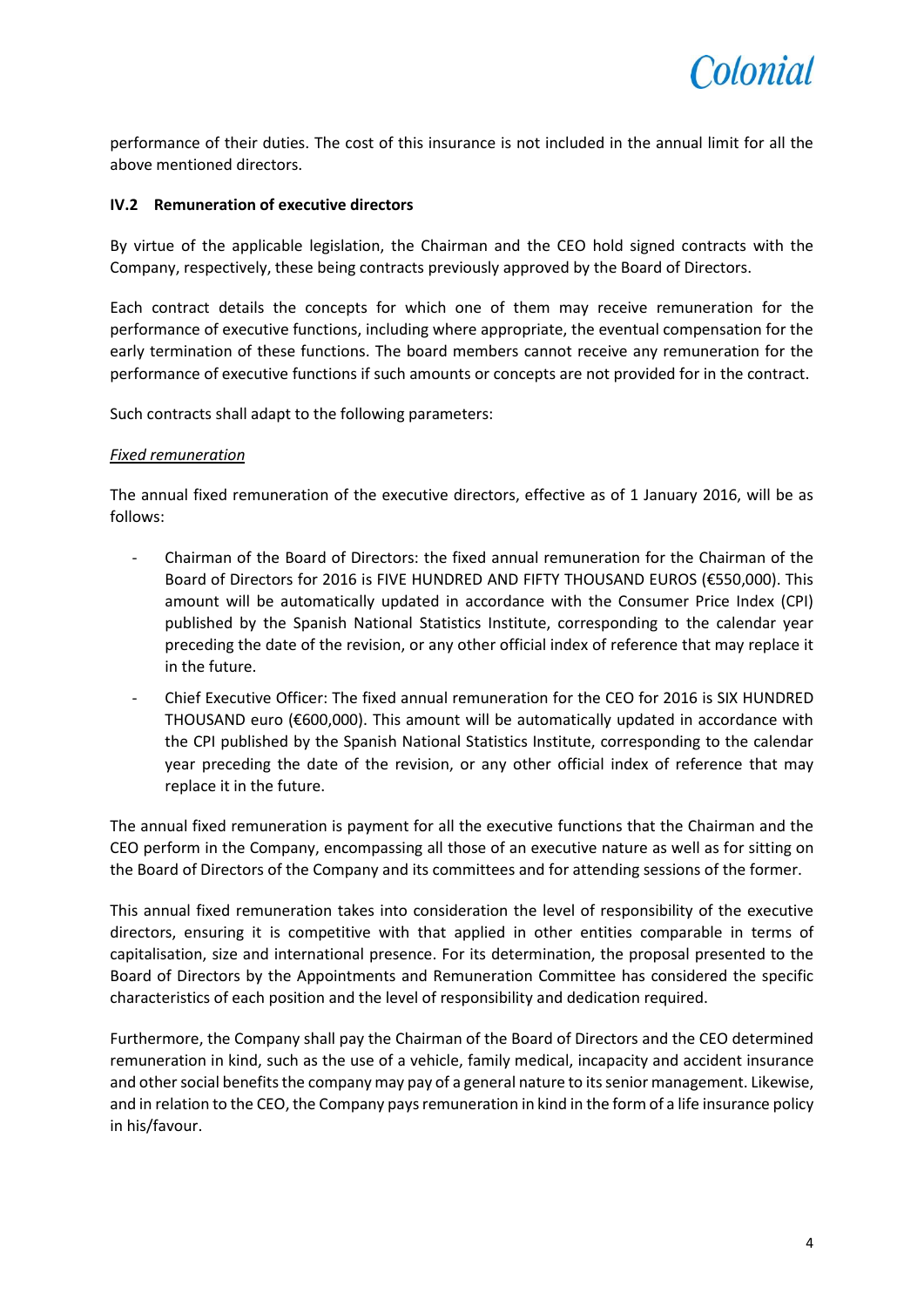

performance of their duties. The cost of this insurance is not included in the annual limit for all the above mentioned directors.

## **IV.2 Remuneration of executive directors**

By virtue of the applicable legislation, the Chairman and the CEO hold signed contracts with the Company, respectively, these being contracts previously approved by the Board of Directors.

Each contract details the concepts for which one of them may receive remuneration for the performance of executive functions, including where appropriate, the eventual compensation for the early termination of these functions. The board members cannot receive any remuneration for the performance of executive functions if such amounts or concepts are not provided for in the contract.

Such contracts shall adapt to the following parameters:

### *Fixed remuneration*

The annual fixed remuneration of the executive directors, effective as of 1 January 2016, will be as follows:

- Chairman of the Board of Directors: the fixed annual remuneration for the Chairman of the Board of Directors for 2016 is FIVE HUNDRED AND FIFTY THOUSAND EUROS (€550,000). This amount will be automatically updated in accordance with the Consumer Price Index (CPI) published by the Spanish National Statistics Institute, corresponding to the calendar year preceding the date of the revision, or any other official index of reference that may replace it in the future.
- Chief Executive Officer: The fixed annual remuneration for the CEO for 2016 is SIX HUNDRED THOUSAND euro (€600,000). This amount will be automatically updated in accordance with the CPI published by the Spanish National Statistics Institute, corresponding to the calendar year preceding the date of the revision, or any other official index of reference that may replace it in the future.

The annual fixed remuneration is payment for all the executive functions that the Chairman and the CEO perform in the Company, encompassing all those of an executive nature as well as for sitting on the Board of Directors of the Company and its committees and for attending sessions of the former.

This annual fixed remuneration takes into consideration the level of responsibility of the executive directors, ensuring it is competitive with that applied in other entities comparable in terms of capitalisation, size and international presence. For its determination, the proposal presented to the Board of Directors by the Appointments and Remuneration Committee has considered the specific characteristics of each position and the level of responsibility and dedication required.

Furthermore, the Company shall pay the Chairman of the Board of Directors and the CEO determined remuneration in kind, such as the use of a vehicle, family medical, incapacity and accident insurance and other social benefits the company may pay of a general nature to its senior management. Likewise, and in relation to the CEO, the Company pays remuneration in kind in the form of a life insurance policy in his/favour.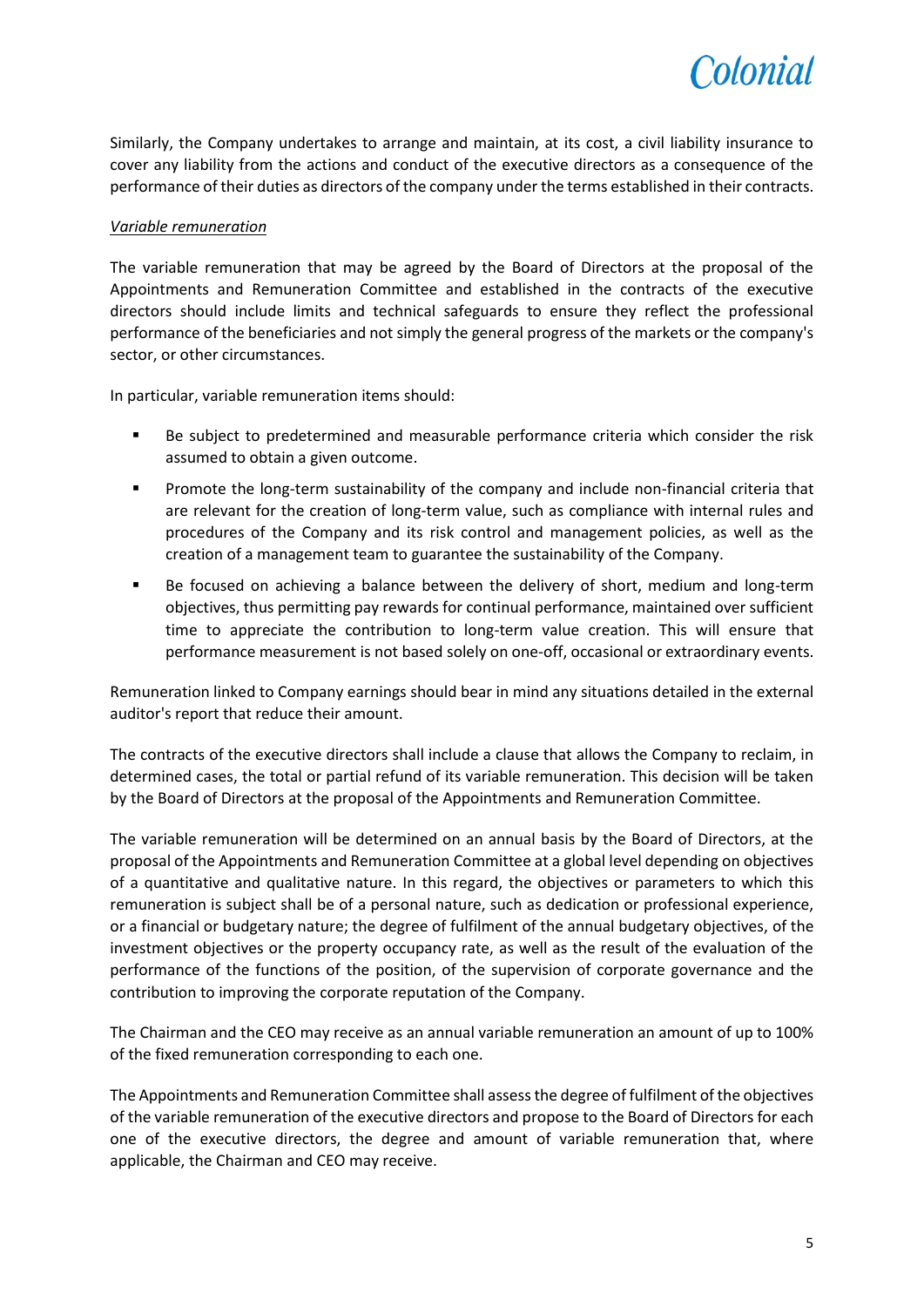

Similarly, the Company undertakes to arrange and maintain, at its cost, a civil liability insurance to cover any liability from the actions and conduct of the executive directors as a consequence of the performance of their duties as directors of the company under the terms established in their contracts.

# *Variable remuneration*

The variable remuneration that may be agreed by the Board of Directors at the proposal of the Appointments and Remuneration Committee and established in the contracts of the executive directors should include limits and technical safeguards to ensure they reflect the professional performance of the beneficiaries and not simply the general progress of the markets or the company's sector, or other circumstances.

In particular, variable remuneration items should:

- Be subject to predetermined and measurable performance criteria which consider the risk assumed to obtain a given outcome.
- Promote the long-term sustainability of the company and include non-financial criteria that are relevant for the creation of long-term value, such as compliance with internal rules and procedures of the Company and its risk control and management policies, as well as the creation of a management team to guarantee the sustainability of the Company.
- Be focused on achieving a balance between the delivery of short, medium and long-term objectives, thus permitting pay rewards for continual performance, maintained over sufficient time to appreciate the contribution to long-term value creation. This will ensure that performance measurement is not based solely on one-off, occasional or extraordinary events.

Remuneration linked to Company earnings should bear in mind any situations detailed in the external auditor's report that reduce their amount.

The contracts of the executive directors shall include a clause that allows the Company to reclaim, in determined cases, the total or partial refund of its variable remuneration. This decision will be taken by the Board of Directors at the proposal of the Appointments and Remuneration Committee.

The variable remuneration will be determined on an annual basis by the Board of Directors, at the proposal of the Appointments and Remuneration Committee at a global level depending on objectives of a quantitative and qualitative nature. In this regard, the objectives or parameters to which this remuneration is subject shall be of a personal nature, such as dedication or professional experience, or a financial or budgetary nature; the degree of fulfilment of the annual budgetary objectives, of the investment objectives or the property occupancy rate, as well as the result of the evaluation of the performance of the functions of the position, of the supervision of corporate governance and the contribution to improving the corporate reputation of the Company.

The Chairman and the CEO may receive as an annual variable remuneration an amount of up to 100% of the fixed remuneration corresponding to each one.

The Appointments and Remuneration Committee shall assess the degree of fulfilment of the objectives of the variable remuneration of the executive directors and propose to the Board of Directors for each one of the executive directors, the degree and amount of variable remuneration that, where applicable, the Chairman and CEO may receive.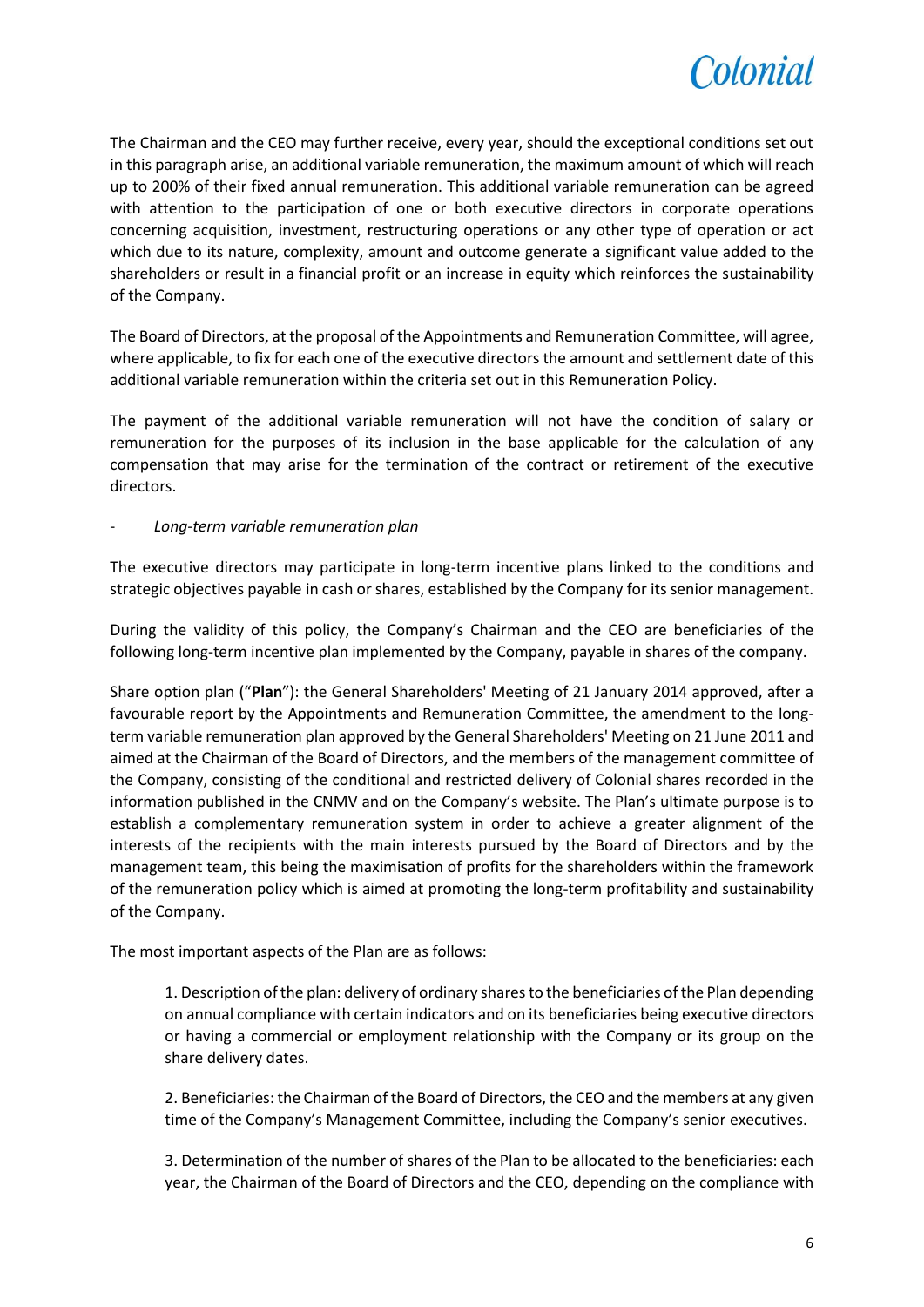

The Chairman and the CEO may further receive, every year, should the exceptional conditions set out in this paragraph arise, an additional variable remuneration, the maximum amount of which will reach up to 200% of their fixed annual remuneration. This additional variable remuneration can be agreed with attention to the participation of one or both executive directors in corporate operations concerning acquisition, investment, restructuring operations or any other type of operation or act which due to its nature, complexity, amount and outcome generate a significant value added to the shareholders or result in a financial profit or an increase in equity which reinforces the sustainability of the Company.

The Board of Directors, at the proposal of the Appointments and Remuneration Committee, will agree, where applicable, to fix for each one of the executive directors the amount and settlement date of this additional variable remuneration within the criteria set out in this Remuneration Policy.

The payment of the additional variable remuneration will not have the condition of salary or remuneration for the purposes of its inclusion in the base applicable for the calculation of any compensation that may arise for the termination of the contract or retirement of the executive directors.

# - *Long-term variable remuneration plan*

The executive directors may participate in long-term incentive plans linked to the conditions and strategic objectives payable in cash or shares, established by the Company for its senior management.

During the validity of this policy, the Company's Chairman and the CEO are beneficiaries of the following long-term incentive plan implemented by the Company, payable in shares of the company.

Share option plan ("**Plan**"): the General Shareholders' Meeting of 21 January 2014 approved, after a favourable report by the Appointments and Remuneration Committee, the amendment to the longterm variable remuneration plan approved by the General Shareholders' Meeting on 21 June 2011 and aimed at the Chairman of the Board of Directors, and the members of the management committee of the Company, consisting of the conditional and restricted delivery of Colonial shares recorded in the information published in the CNMV and on the Company's website. The Plan's ultimate purpose is to establish a complementary remuneration system in order to achieve a greater alignment of the interests of the recipients with the main interests pursued by the Board of Directors and by the management team, this being the maximisation of profits for the shareholders within the framework of the remuneration policy which is aimed at promoting the long-term profitability and sustainability of the Company.

The most important aspects of the Plan are as follows:

1. Description of the plan: delivery of ordinary shares to the beneficiaries of the Plan depending on annual compliance with certain indicators and on its beneficiaries being executive directors or having a commercial or employment relationship with the Company or its group on the share delivery dates.

2. Beneficiaries: the Chairman of the Board of Directors, the CEO and the members at any given time of the Company's Management Committee, including the Company's senior executives.

3. Determination of the number of shares of the Plan to be allocated to the beneficiaries: each year, the Chairman of the Board of Directors and the CEO, depending on the compliance with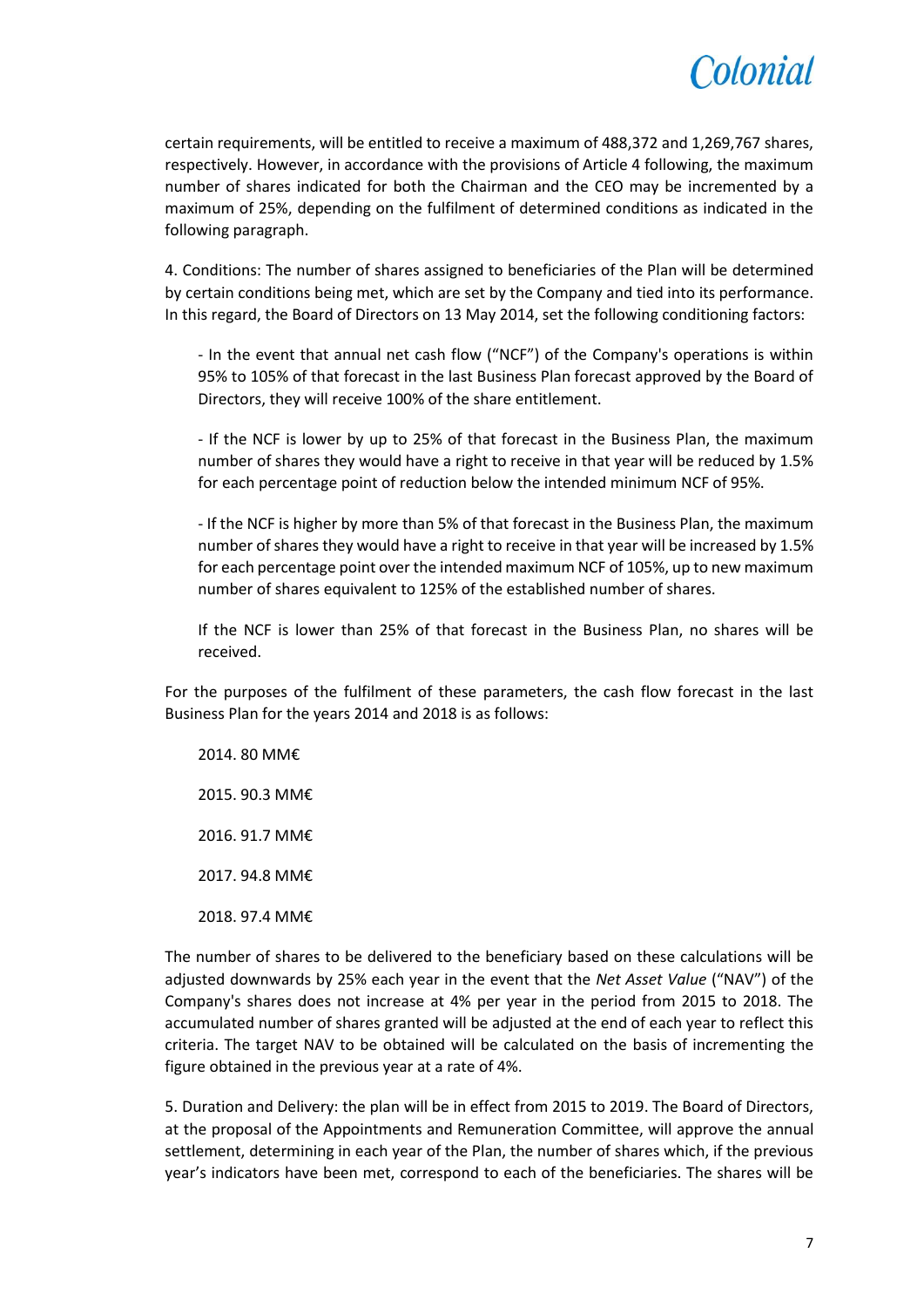

certain requirements, will be entitled to receive a maximum of 488,372 and 1,269,767 shares, respectively. However, in accordance with the provisions of Article 4 following, the maximum number of shares indicated for both the Chairman and the CEO may be incremented by a maximum of 25%, depending on the fulfilment of determined conditions as indicated in the following paragraph.

4. Conditions: The number of shares assigned to beneficiaries of the Plan will be determined by certain conditions being met, which are set by the Company and tied into its performance. In this regard, the Board of Directors on 13 May 2014, set the following conditioning factors:

- In the event that annual net cash flow ("NCF") of the Company's operations is within 95% to 105% of that forecast in the last Business Plan forecast approved by the Board of Directors, they will receive 100% of the share entitlement.

- If the NCF is lower by up to 25% of that forecast in the Business Plan, the maximum number of shares they would have a right to receive in that year will be reduced by 1.5% for each percentage point of reduction below the intended minimum NCF of 95%.

- If the NCF is higher by more than 5% of that forecast in the Business Plan, the maximum number of shares they would have a right to receive in that year will be increased by 1.5% for each percentage point over the intended maximum NCF of 105%, up to new maximum number of shares equivalent to 125% of the established number of shares.

If the NCF is lower than 25% of that forecast in the Business Plan, no shares will be received.

For the purposes of the fulfilment of these parameters, the cash flow forecast in the last Business Plan for the years 2014 and 2018 is as follows:

2014. 80 MM€ 2015. 90.3 MM€ 2016. 91.7 MM€ 2017. 94.8 MM€ 2018. 97.4 MM€

The number of shares to be delivered to the beneficiary based on these calculations will be adjusted downwards by 25% each year in the event that the *Net Asset Value* ("NAV") of the Company's shares does not increase at 4% per year in the period from 2015 to 2018. The accumulated number of shares granted will be adjusted at the end of each year to reflect this criteria. The target NAV to be obtained will be calculated on the basis of incrementing the figure obtained in the previous year at a rate of 4%.

5. Duration and Delivery: the plan will be in effect from 2015 to 2019. The Board of Directors, at the proposal of the Appointments and Remuneration Committee, will approve the annual settlement, determining in each year of the Plan, the number of shares which, if the previous year's indicators have been met, correspond to each of the beneficiaries. The shares will be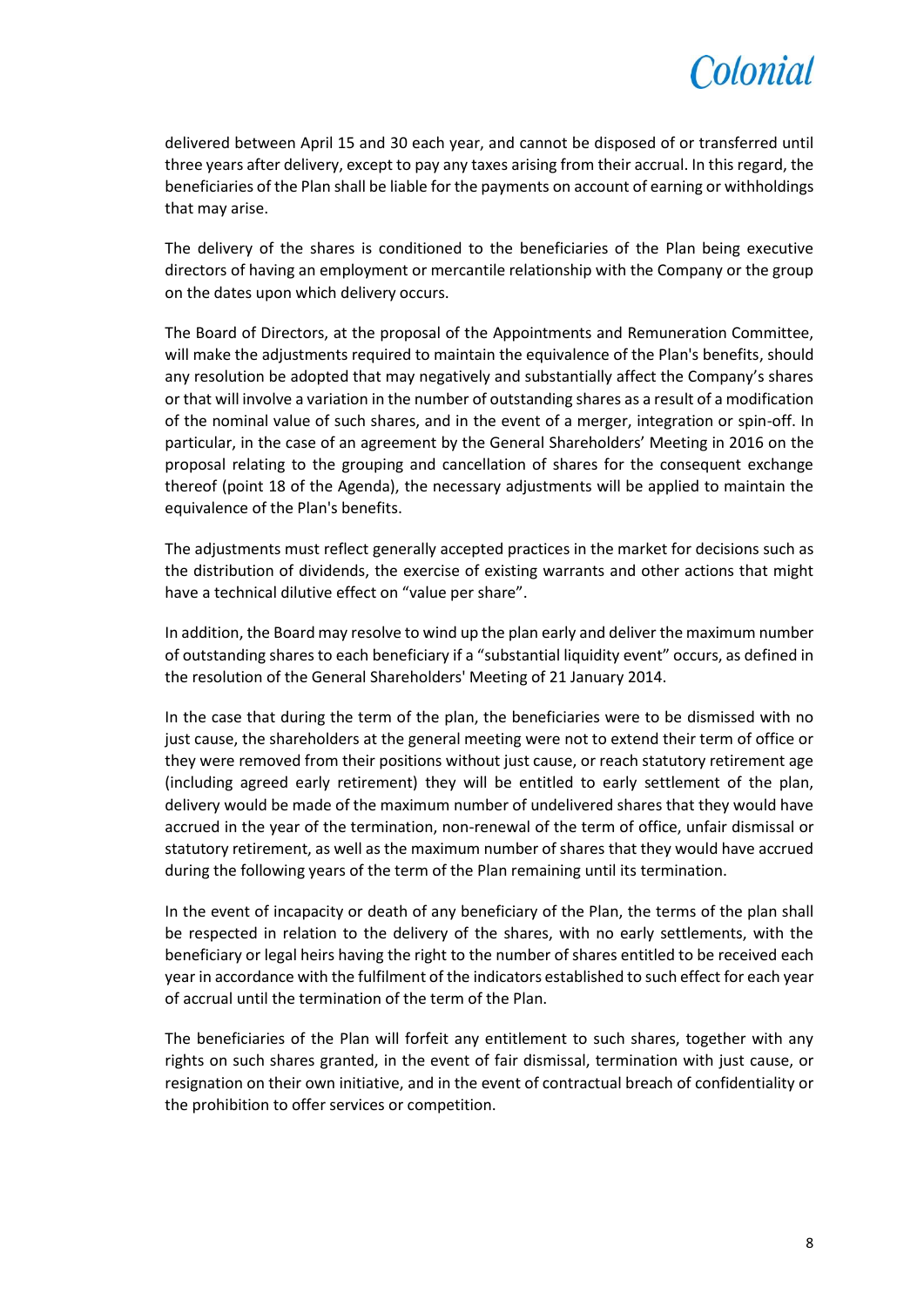

delivered between April 15 and 30 each year, and cannot be disposed of or transferred until three years after delivery, except to pay any taxes arising from their accrual. In this regard, the beneficiaries of the Plan shall be liable for the payments on account of earning or withholdings that may arise.

The delivery of the shares is conditioned to the beneficiaries of the Plan being executive directors of having an employment or mercantile relationship with the Company or the group on the dates upon which delivery occurs.

The Board of Directors, at the proposal of the Appointments and Remuneration Committee, will make the adjustments required to maintain the equivalence of the Plan's benefits, should any resolution be adopted that may negatively and substantially affect the Company's shares or that will involve a variation in the number of outstanding shares as a result of a modification of the nominal value of such shares, and in the event of a merger, integration or spin-off. In particular, in the case of an agreement by the General Shareholders' Meeting in 2016 on the proposal relating to the grouping and cancellation of shares for the consequent exchange thereof (point 18 of the Agenda), the necessary adjustments will be applied to maintain the equivalence of the Plan's benefits.

The adjustments must reflect generally accepted practices in the market for decisions such as the distribution of dividends, the exercise of existing warrants and other actions that might have a technical dilutive effect on "value per share".

In addition, the Board may resolve to wind up the plan early and deliver the maximum number of outstanding shares to each beneficiary if a "substantial liquidity event" occurs, as defined in the resolution of the General Shareholders' Meeting of 21 January 2014.

In the case that during the term of the plan, the beneficiaries were to be dismissed with no just cause, the shareholders at the general meeting were not to extend their term of office or they were removed from their positions without just cause, or reach statutory retirement age (including agreed early retirement) they will be entitled to early settlement of the plan, delivery would be made of the maximum number of undelivered shares that they would have accrued in the year of the termination, non-renewal of the term of office, unfair dismissal or statutory retirement, as well as the maximum number of shares that they would have accrued during the following years of the term of the Plan remaining until its termination.

In the event of incapacity or death of any beneficiary of the Plan, the terms of the plan shall be respected in relation to the delivery of the shares, with no early settlements, with the beneficiary or legal heirs having the right to the number of shares entitled to be received each year in accordance with the fulfilment of the indicators established to such effect for each year of accrual until the termination of the term of the Plan.

The beneficiaries of the Plan will forfeit any entitlement to such shares, together with any rights on such shares granted, in the event of fair dismissal, termination with just cause, or resignation on their own initiative, and in the event of contractual breach of confidentiality or the prohibition to offer services or competition.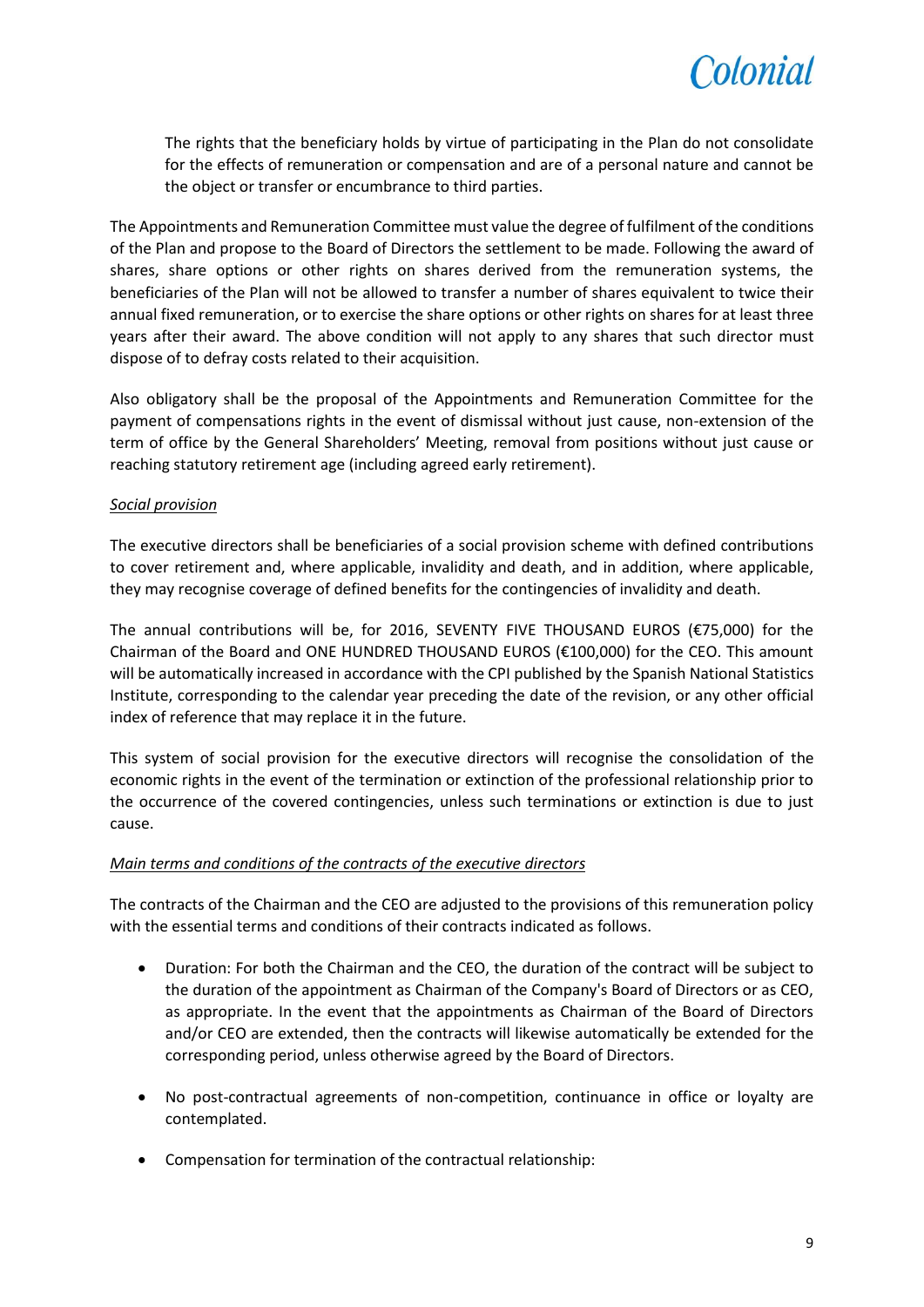

The rights that the beneficiary holds by virtue of participating in the Plan do not consolidate for the effects of remuneration or compensation and are of a personal nature and cannot be the object or transfer or encumbrance to third parties.

The Appointments and Remuneration Committee must value the degree of fulfilment of the conditions of the Plan and propose to the Board of Directors the settlement to be made. Following the award of shares, share options or other rights on shares derived from the remuneration systems, the beneficiaries of the Plan will not be allowed to transfer a number of shares equivalent to twice their annual fixed remuneration, or to exercise the share options or other rights on shares for at least three years after their award. The above condition will not apply to any shares that such director must dispose of to defray costs related to their acquisition.

Also obligatory shall be the proposal of the Appointments and Remuneration Committee for the payment of compensations rights in the event of dismissal without just cause, non-extension of the term of office by the General Shareholders' Meeting, removal from positions without just cause or reaching statutory retirement age (including agreed early retirement).

# *Social provision*

The executive directors shall be beneficiaries of a social provision scheme with defined contributions to cover retirement and, where applicable, invalidity and death, and in addition, where applicable, they may recognise coverage of defined benefits for the contingencies of invalidity and death.

The annual contributions will be, for 2016, SEVENTY FIVE THOUSAND EUROS (€75,000) for the Chairman of the Board and ONE HUNDRED THOUSAND EUROS (€100,000) for the CEO. This amount will be automatically increased in accordance with the CPI published by the Spanish National Statistics Institute, corresponding to the calendar year preceding the date of the revision, or any other official index of reference that may replace it in the future.

This system of social provision for the executive directors will recognise the consolidation of the economic rights in the event of the termination or extinction of the professional relationship prior to the occurrence of the covered contingencies, unless such terminations or extinction is due to just cause.

### *Main terms and conditions of the contracts of the executive directors*

The contracts of the Chairman and the CEO are adjusted to the provisions of this remuneration policy with the essential terms and conditions of their contracts indicated as follows.

- Duration: For both the Chairman and the CEO, the duration of the contract will be subject to the duration of the appointment as Chairman of the Company's Board of Directors or as CEO, as appropriate. In the event that the appointments as Chairman of the Board of Directors and/or CEO are extended, then the contracts will likewise automatically be extended for the corresponding period, unless otherwise agreed by the Board of Directors.
- No post-contractual agreements of non-competition, continuance in office or loyalty are contemplated.
- Compensation for termination of the contractual relationship: